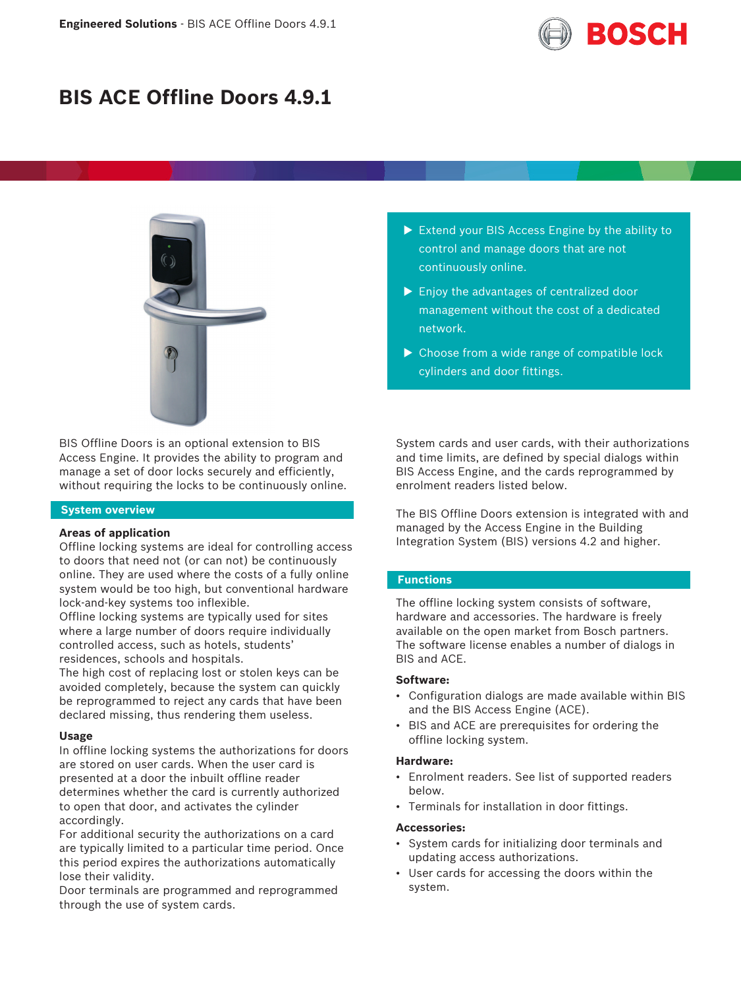

# **BIS ACE Offline Doors 4.9.1**



BIS Offline Doors is an optional extension to BIS Access Engine. It provides the ability to program and manage a set of door locks securely and efficiently, without requiring the locks to be continuously online.

## **System overview**

#### **Areas of application**

Offline locking systems are ideal for controlling access to doors that need not (or can not) be continuously online. They are used where the costs of a fully online system would be too high, but conventional hardware lock-and-key systems too inflexible.

Offline locking systems are typically used for sites where a large number of doors require individually controlled access, such as hotels, students' residences, schools and hospitals.

The high cost of replacing lost or stolen keys can be avoided completely, because the system can quickly be reprogrammed to reject any cards that have been declared missing, thus rendering them useless.

#### **Usage**

In offline locking systems the authorizations for doors are stored on user cards. When the user card is presented at a door the inbuilt offline reader determines whether the card is currently authorized to open that door, and activates the cylinder accordingly.

For additional security the authorizations on a card are typically limited to a particular time period. Once this period expires the authorizations automatically lose their validity.

Door terminals are programmed and reprogrammed through the use of system cards.

- $\triangleright$  Extend your BIS Access Engine by the ability to control and manage doors that are not continuously online.
- $\blacktriangleright$  Enjoy the advantages of centralized door management without the cost of a dedicated network.
- $\triangleright$  Choose from a wide range of compatible lock cylinders and door fittings.

System cards and user cards, with their authorizations and time limits, are defined by special dialogs within BIS Access Engine, and the cards reprogrammed by enrolment readers listed below.

The BIS Offline Doors extension is integrated with and managed by the Access Engine in the Building Integration System (BIS) versions 4.2 and higher.

## **Functions**

The offline locking system consists of software, hardware and accessories. The hardware is freely available on the open market from Bosch partners. The software license enables a number of dialogs in BIS and ACE.

#### **Software:**

- Configuration dialogs are made available within BIS and the BIS Access Engine (ACE).
- BIS and ACE are prerequisites for ordering the offline locking system.

#### **Hardware:**

- Enrolment readers. See list of supported readers below.
- Terminals for installation in door fittings.

#### **Accessories:**

- System cards for initializing door terminals and updating access authorizations.
- User cards for accessing the doors within the system.